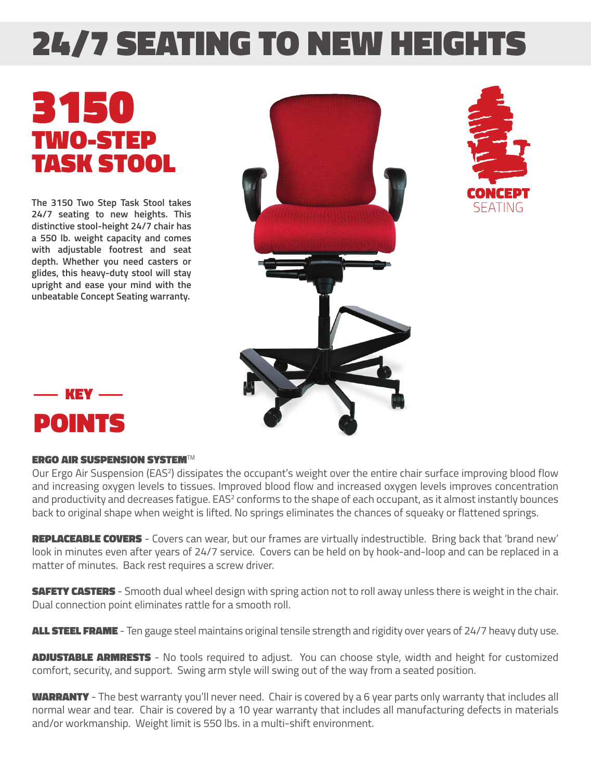## 24/7 SEATING TO NEW HEIGHTS

## 3150 TWO-STEP TASK STOOL

**The 3150 Two Step Task Stool takes 24/7 seating to new heights. This distinctive stool-height 24/7 chair has a 550 lb. weight capacity and comes with adjustable footrest and seat depth. Whether you need casters or glides, this heavy-duty stool will stay upright and ease your mind with the unbeatable Concept Seating warranty.**







## ERGO AIR SUSPENSION SYSTEM*TM*

Our Ergo Air Suspension (EAS<sup>2</sup>) dissipates the occupant's weight over the entire chair surface improving blood flow and increasing oxygen levels to tissues. Improved blood flow and increased oxygen levels improves concentration and productivity and decreases fatigue.  $EAS<sup>2</sup>$  conforms to the shape of each occupant, as it almost instantly bounces back to original shape when weight is lifted. No springs eliminates the chances of squeaky or flattened springs.

REPLACEABLE COVERS - Covers can wear, but our frames are virtually indestructible. Bring back that 'brand new' look in minutes even after years of 24/7 service. Covers can be held on by hook-and-loop and can be replaced in a matter of minutes. Back rest requires a screw driver.

**SAFETY CASTERS** - Smooth dual wheel design with spring action not to roll away unless there is weight in the chair. Dual connection point eliminates rattle for a smooth roll.

ALL STEEL FRAME - Ten gauge steel maintains original tensile strength and rigidity over years of 24/7 heavy duty use.

**ADJUSTABLE ARMRESTS** - No tools required to adjust. You can choose style, width and height for customized comfort, security, and support. Swing arm style will swing out of the way from a seated position.

WARRANTY - The best warranty you'll never need. Chair is covered by a 6 year parts only warranty that includes all normal wear and tear. Chair is covered by a 10 year warranty that includes all manufacturing defects in materials and/or workmanship. Weight limit is 550 lbs. in a multi-shift environment.